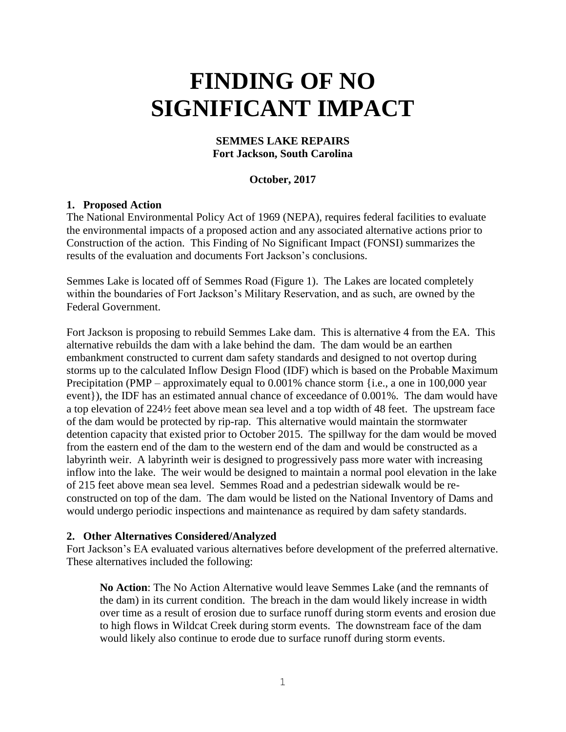# **FINDING OF NO SIGNIFICANT IMPACT**

#### **SEMMES LAKE REPAIRS Fort Jackson, South Carolina**

#### **October, 2017**

#### **1. Proposed Action**

The National Environmental Policy Act of 1969 (NEPA), requires federal facilities to evaluate the environmental impacts of a proposed action and any associated alternative actions prior to Construction of the action. This Finding of No Significant Impact (FONSI) summarizes the results of the evaluation and documents Fort Jackson's conclusions.

Semmes Lake is located off of Semmes Road (Figure 1). The Lakes are located completely within the boundaries of Fort Jackson's Military Reservation, and as such, are owned by the Federal Government.

Fort Jackson is proposing to rebuild Semmes Lake dam. This is alternative 4 from the EA. This alternative rebuilds the dam with a lake behind the dam. The dam would be an earthen embankment constructed to current dam safety standards and designed to not overtop during storms up to the calculated Inflow Design Flood (IDF) which is based on the Probable Maximum Precipitation (PMP – approximately equal to 0.001% chance storm {i.e., a one in 100,000 year event}), the IDF has an estimated annual chance of exceedance of 0.001%. The dam would have a top elevation of 224½ feet above mean sea level and a top width of 48 feet. The upstream face of the dam would be protected by rip-rap. This alternative would maintain the stormwater detention capacity that existed prior to October 2015. The spillway for the dam would be moved from the eastern end of the dam to the western end of the dam and would be constructed as a labyrinth weir. A labyrinth weir is designed to progressively pass more water with increasing inflow into the lake. The weir would be designed to maintain a normal pool elevation in the lake of 215 feet above mean sea level. Semmes Road and a pedestrian sidewalk would be reconstructed on top of the dam. The dam would be listed on the National Inventory of Dams and would undergo periodic inspections and maintenance as required by dam safety standards.

#### **2. Other Alternatives Considered/Analyzed**

Fort Jackson's EA evaluated various alternatives before development of the preferred alternative. These alternatives included the following:

**No Action**: The No Action Alternative would leave Semmes Lake (and the remnants of the dam) in its current condition. The breach in the dam would likely increase in width over time as a result of erosion due to surface runoff during storm events and erosion due to high flows in Wildcat Creek during storm events. The downstream face of the dam would likely also continue to erode due to surface runoff during storm events.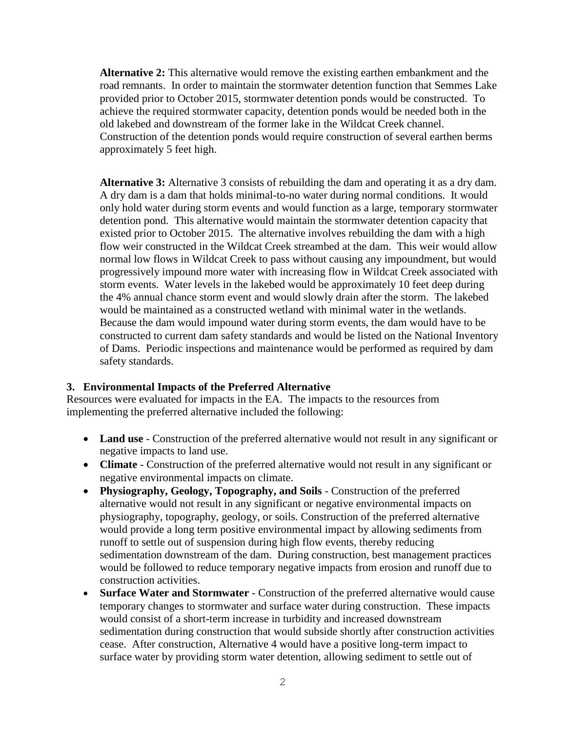**Alternative 2:** This alternative would remove the existing earthen embankment and the road remnants. In order to maintain the stormwater detention function that Semmes Lake provided prior to October 2015, stormwater detention ponds would be constructed. To achieve the required stormwater capacity, detention ponds would be needed both in the old lakebed and downstream of the former lake in the Wildcat Creek channel. Construction of the detention ponds would require construction of several earthen berms approximately 5 feet high.

**Alternative 3:** Alternative 3 consists of rebuilding the dam and operating it as a dry dam. A dry dam is a dam that holds minimal-to-no water during normal conditions. It would only hold water during storm events and would function as a large, temporary stormwater detention pond. This alternative would maintain the stormwater detention capacity that existed prior to October 2015. The alternative involves rebuilding the dam with a high flow weir constructed in the Wildcat Creek streambed at the dam. This weir would allow normal low flows in Wildcat Creek to pass without causing any impoundment, but would progressively impound more water with increasing flow in Wildcat Creek associated with storm events. Water levels in the lakebed would be approximately 10 feet deep during the 4% annual chance storm event and would slowly drain after the storm. The lakebed would be maintained as a constructed wetland with minimal water in the wetlands. Because the dam would impound water during storm events, the dam would have to be constructed to current dam safety standards and would be listed on the National Inventory of Dams. Periodic inspections and maintenance would be performed as required by dam safety standards.

## **3. Environmental Impacts of the Preferred Alternative**

Resources were evaluated for impacts in the EA. The impacts to the resources from implementing the preferred alternative included the following:

- Land use Construction of the preferred alternative would not result in any significant or negative impacts to land use.
- **Climate** Construction of the preferred alternative would not result in any significant or negative environmental impacts on climate.
- **Physiography, Geology, Topography, and Soils** Construction of the preferred alternative would not result in any significant or negative environmental impacts on physiography, topography, geology, or soils. Construction of the preferred alternative would provide a long term positive environmental impact by allowing sediments from runoff to settle out of suspension during high flow events, thereby reducing sedimentation downstream of the dam. During construction, best management practices would be followed to reduce temporary negative impacts from erosion and runoff due to construction activities.
- **Surface Water and Stormwater** Construction of the preferred alternative would cause temporary changes to stormwater and surface water during construction. These impacts would consist of a short-term increase in turbidity and increased downstream sedimentation during construction that would subside shortly after construction activities cease. After construction, Alternative 4 would have a positive long-term impact to surface water by providing storm water detention, allowing sediment to settle out of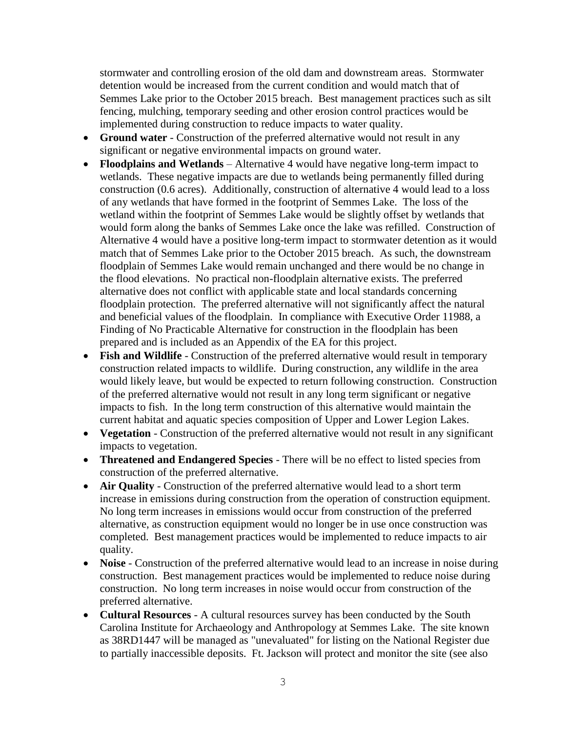stormwater and controlling erosion of the old dam and downstream areas. Stormwater detention would be increased from the current condition and would match that of Semmes Lake prior to the October 2015 breach. Best management practices such as silt fencing, mulching, temporary seeding and other erosion control practices would be implemented during construction to reduce impacts to water quality.

- **Ground water** Construction of the preferred alternative would not result in any significant or negative environmental impacts on ground water.
- **Floodplains and Wetlands** Alternative 4 would have negative long-term impact to wetlands. These negative impacts are due to wetlands being permanently filled during construction (0.6 acres). Additionally, construction of alternative 4 would lead to a loss of any wetlands that have formed in the footprint of Semmes Lake. The loss of the wetland within the footprint of Semmes Lake would be slightly offset by wetlands that would form along the banks of Semmes Lake once the lake was refilled. Construction of Alternative 4 would have a positive long-term impact to stormwater detention as it would match that of Semmes Lake prior to the October 2015 breach. As such, the downstream floodplain of Semmes Lake would remain unchanged and there would be no change in the flood elevations. No practical non-floodplain alternative exists. The preferred alternative does not conflict with applicable state and local standards concerning floodplain protection. The preferred alternative will not significantly affect the natural and beneficial values of the floodplain. In compliance with Executive Order 11988, a Finding of No Practicable Alternative for construction in the floodplain has been prepared and is included as an Appendix of the EA for this project.
- **Fish and Wildlife** Construction of the preferred alternative would result in temporary construction related impacts to wildlife. During construction, any wildlife in the area would likely leave, but would be expected to return following construction. Construction of the preferred alternative would not result in any long term significant or negative impacts to fish. In the long term construction of this alternative would maintain the current habitat and aquatic species composition of Upper and Lower Legion Lakes.
- **Vegetation** Construction of the preferred alternative would not result in any significant impacts to vegetation.
- **Threatened and Endangered Species** There will be no effect to listed species from construction of the preferred alternative.
- **Air Quality** Construction of the preferred alternative would lead to a short term increase in emissions during construction from the operation of construction equipment. No long term increases in emissions would occur from construction of the preferred alternative, as construction equipment would no longer be in use once construction was completed. Best management practices would be implemented to reduce impacts to air quality.
- Noise Construction of the preferred alternative would lead to an increase in noise during construction. Best management practices would be implemented to reduce noise during construction. No long term increases in noise would occur from construction of the preferred alternative.
- **Cultural Resources** A cultural resources survey has been conducted by the South Carolina Institute for Archaeology and Anthropology at Semmes Lake. The site known as 38RD1447 will be managed as "unevaluated" for listing on the National Register due to partially inaccessible deposits. Ft. Jackson will protect and monitor the site (see also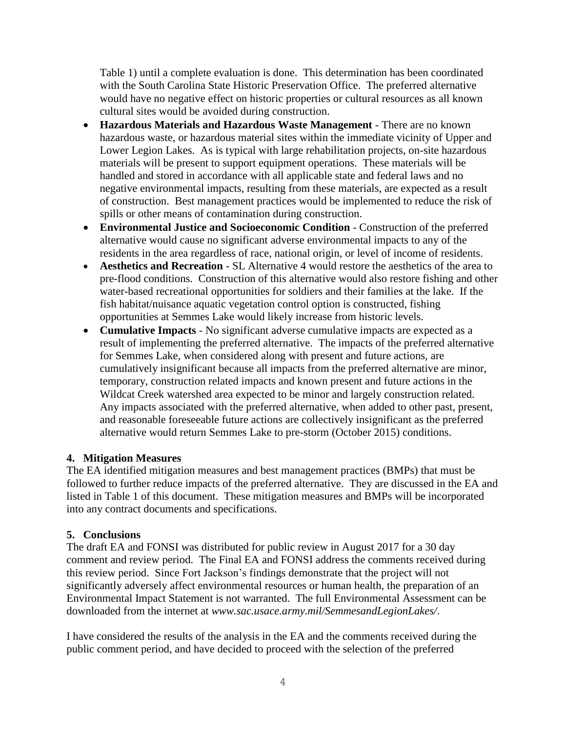Table 1) until a complete evaluation is done. This determination has been coordinated with the South Carolina State Historic Preservation Office. The preferred alternative would have no negative effect on historic properties or cultural resources as all known cultural sites would be avoided during construction.

- **Hazardous Materials and Hazardous Waste Management** There are no known hazardous waste, or hazardous material sites within the immediate vicinity of Upper and Lower Legion Lakes. As is typical with large rehabilitation projects, on-site hazardous materials will be present to support equipment operations. These materials will be handled and stored in accordance with all applicable state and federal laws and no negative environmental impacts, resulting from these materials, are expected as a result of construction. Best management practices would be implemented to reduce the risk of spills or other means of contamination during construction.
- **Environmental Justice and Socioeconomic Condition** Construction of the preferred alternative would cause no significant adverse environmental impacts to any of the residents in the area regardless of race, national origin, or level of income of residents.
- **Aesthetics and Recreation** SL Alternative 4 would restore the aesthetics of the area to pre-flood conditions. Construction of this alternative would also restore fishing and other water-based recreational opportunities for soldiers and their families at the lake. If the fish habitat/nuisance aquatic vegetation control option is constructed, fishing opportunities at Semmes Lake would likely increase from historic levels.
- **Cumulative Impacts** No significant adverse cumulative impacts are expected as a result of implementing the preferred alternative. The impacts of the preferred alternative for Semmes Lake, when considered along with present and future actions, are cumulatively insignificant because all impacts from the preferred alternative are minor, temporary, construction related impacts and known present and future actions in the Wildcat Creek watershed area expected to be minor and largely construction related. Any impacts associated with the preferred alternative, when added to other past, present, and reasonable foreseeable future actions are collectively insignificant as the preferred alternative would return Semmes Lake to pre-storm (October 2015) conditions.

## **4. Mitigation Measures**

The EA identified mitigation measures and best management practices (BMPs) that must be followed to further reduce impacts of the preferred alternative. They are discussed in the EA and listed in Table 1 of this document. These mitigation measures and BMPs will be incorporated into any contract documents and specifications.

#### **5. Conclusions**

The draft EA and FONSI was distributed for public review in August 2017 for a 30 day comment and review period. The Final EA and FONSI address the comments received during this review period. Since Fort Jackson's findings demonstrate that the project will not significantly adversely affect environmental resources or human health, the preparation of an Environmental Impact Statement is not warranted. The full Environmental Assessment can be downloaded from the internet at *www.sac.usace.army.mil/SemmesandLegionLakes/*.

I have considered the results of the analysis in the EA and the comments received during the public comment period, and have decided to proceed with the selection of the preferred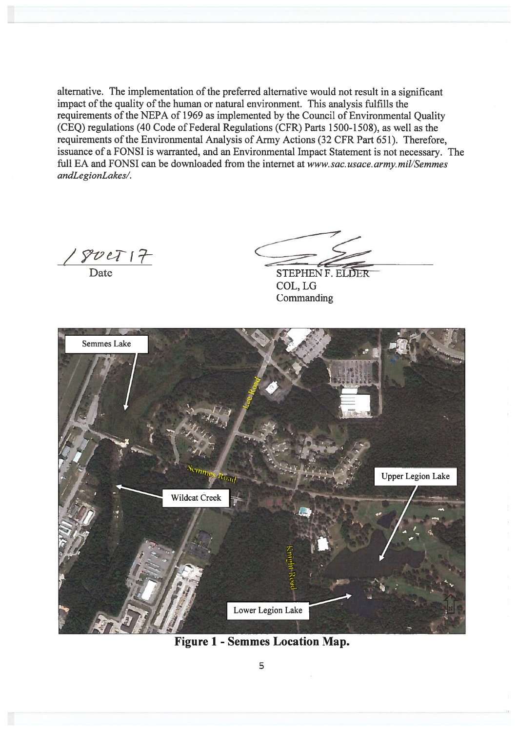alternative. The implementation of the preferred alternative would not result in a significant impact of the quality of the human or natural environment. This analysis fulfills the requirements of the NEPA of 1969 as implemented by the Council of Environmental Quality (CEQ) regulations (40 Code of Federal Regulations (CFR) Parts 1500-1508), as well as the requirements of the Environmental Analysis of Army Actions (32 CFR Part 651). Therefore, issuance of a FONSI is warranted, and an Environmental Impact Statement is not necessary. The full EA and FONSI can be downloaded from the internet at www.sac.usace.army.mil/Semmes andLegionLakes/.

 $\frac{y}{\sqrt{y}}$  Date

STEPHEN F. ELDER COL, LG Commanding



**Figure 1 - Semmes Location Map.**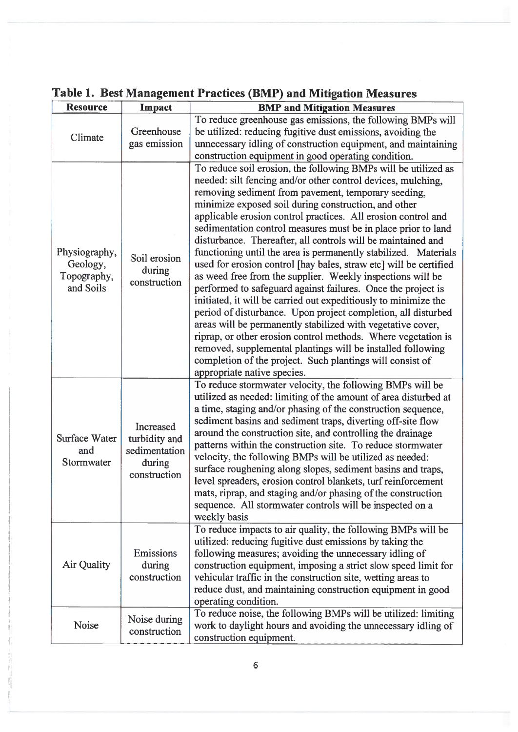| <b>Resource</b>                                       | Impact                                                                | <b>BMP and Mitigation Measures</b>                                                                                                                                                                                                                                                                                                                                                                                                                                                                                                                                                                                                                                                                                                                                                                                                                                                                                                                                                                                                                                                                                                                   |
|-------------------------------------------------------|-----------------------------------------------------------------------|------------------------------------------------------------------------------------------------------------------------------------------------------------------------------------------------------------------------------------------------------------------------------------------------------------------------------------------------------------------------------------------------------------------------------------------------------------------------------------------------------------------------------------------------------------------------------------------------------------------------------------------------------------------------------------------------------------------------------------------------------------------------------------------------------------------------------------------------------------------------------------------------------------------------------------------------------------------------------------------------------------------------------------------------------------------------------------------------------------------------------------------------------|
| Climate                                               | Greenhouse<br>gas emission                                            | To reduce greenhouse gas emissions, the following BMPs will<br>be utilized: reducing fugitive dust emissions, avoiding the<br>unnecessary idling of construction equipment, and maintaining<br>construction equipment in good operating condition.                                                                                                                                                                                                                                                                                                                                                                                                                                                                                                                                                                                                                                                                                                                                                                                                                                                                                                   |
| Physiography,<br>Geology,<br>Topography,<br>and Soils | Soil erosion<br>during<br>construction                                | To reduce soil erosion, the following BMPs will be utilized as<br>needed: silt fencing and/or other control devices, mulching,<br>removing sediment from pavement, temporary seeding,<br>minimize exposed soil during construction, and other<br>applicable erosion control practices. All erosion control and<br>sedimentation control measures must be in place prior to land<br>disturbance. Thereafter, all controls will be maintained and<br>functioning until the area is permanently stabilized. Materials<br>used for erosion control [hay bales, straw etc] will be certified<br>as weed free from the supplier. Weekly inspections will be<br>performed to safeguard against failures. Once the project is<br>initiated, it will be carried out expeditiously to minimize the<br>period of disturbance. Upon project completion, all disturbed<br>areas will be permanently stabilized with vegetative cover,<br>riprap, or other erosion control methods. Where vegetation is<br>removed, supplemental plantings will be installed following<br>completion of the project. Such plantings will consist of<br>appropriate native species. |
| Surface Water<br>and<br>Stormwater                    | Increased<br>turbidity and<br>sedimentation<br>during<br>construction | To reduce stormwater velocity, the following BMPs will be<br>utilized as needed: limiting of the amount of area disturbed at<br>a time, staging and/or phasing of the construction sequence,<br>sediment basins and sediment traps, diverting off-site flow<br>around the construction site, and controlling the drainage<br>patterns within the construction site. To reduce stormwater<br>velocity, the following BMPs will be utilized as needed:<br>surface roughening along slopes, sediment basins and traps,<br>level spreaders, erosion control blankets, turf reinforcement<br>mats, riprap, and staging and/or phasing of the construction<br>sequence. All stormwater controls will be inspected on a<br>weekly basis                                                                                                                                                                                                                                                                                                                                                                                                                     |
| Air Quality                                           | Emissions<br>during<br>construction                                   | To reduce impacts to air quality, the following BMPs will be<br>utilized: reducing fugitive dust emissions by taking the<br>following measures; avoiding the unnecessary idling of<br>construction equipment, imposing a strict slow speed limit for<br>vehicular traffic in the construction site, wetting areas to<br>reduce dust, and maintaining construction equipment in good<br>operating condition.                                                                                                                                                                                                                                                                                                                                                                                                                                                                                                                                                                                                                                                                                                                                          |
| Noise                                                 | Noise during<br>construction                                          | To reduce noise, the following BMPs will be utilized: limiting<br>work to daylight hours and avoiding the unnecessary idling of<br>construction equipment.                                                                                                                                                                                                                                                                                                                                                                                                                                                                                                                                                                                                                                                                                                                                                                                                                                                                                                                                                                                           |

# Table 1. Best Management Practices (BMP) and Mitigation Measures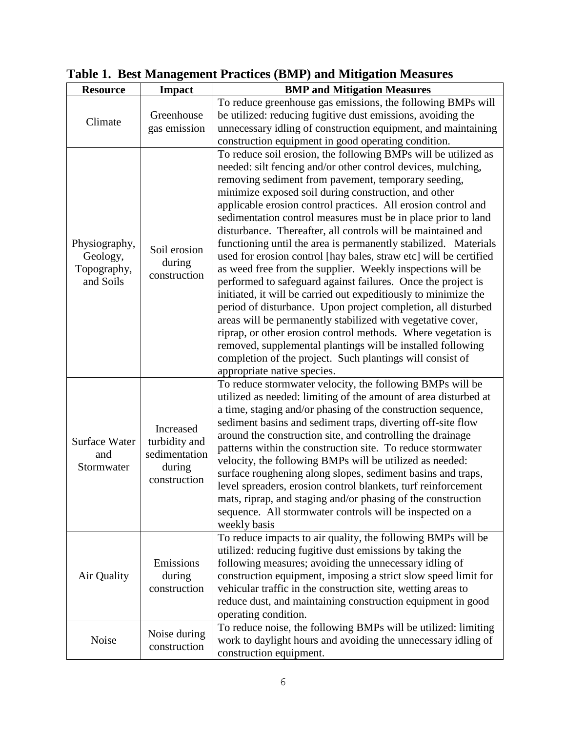| <b>Resource</b>                                       | <b>Impact</b>                                                         | <b>BMP</b> and Mitigation Measures                                                                                                                                                                                                                                                                                                                                                                                                                                                                                                                                                                                                                                                                                                                                                                                                                                                                                                                                                                                                                                                                                                                   |
|-------------------------------------------------------|-----------------------------------------------------------------------|------------------------------------------------------------------------------------------------------------------------------------------------------------------------------------------------------------------------------------------------------------------------------------------------------------------------------------------------------------------------------------------------------------------------------------------------------------------------------------------------------------------------------------------------------------------------------------------------------------------------------------------------------------------------------------------------------------------------------------------------------------------------------------------------------------------------------------------------------------------------------------------------------------------------------------------------------------------------------------------------------------------------------------------------------------------------------------------------------------------------------------------------------|
| Climate                                               | Greenhouse<br>gas emission                                            | To reduce greenhouse gas emissions, the following BMPs will<br>be utilized: reducing fugitive dust emissions, avoiding the<br>unnecessary idling of construction equipment, and maintaining<br>construction equipment in good operating condition.                                                                                                                                                                                                                                                                                                                                                                                                                                                                                                                                                                                                                                                                                                                                                                                                                                                                                                   |
| Physiography,<br>Geology,<br>Topography,<br>and Soils | Soil erosion<br>during<br>construction                                | To reduce soil erosion, the following BMPs will be utilized as<br>needed: silt fencing and/or other control devices, mulching,<br>removing sediment from pavement, temporary seeding,<br>minimize exposed soil during construction, and other<br>applicable erosion control practices. All erosion control and<br>sedimentation control measures must be in place prior to land<br>disturbance. Thereafter, all controls will be maintained and<br>functioning until the area is permanently stabilized. Materials<br>used for erosion control [hay bales, straw etc] will be certified<br>as weed free from the supplier. Weekly inspections will be<br>performed to safeguard against failures. Once the project is<br>initiated, it will be carried out expeditiously to minimize the<br>period of disturbance. Upon project completion, all disturbed<br>areas will be permanently stabilized with vegetative cover,<br>riprap, or other erosion control methods. Where vegetation is<br>removed, supplemental plantings will be installed following<br>completion of the project. Such plantings will consist of<br>appropriate native species. |
| <b>Surface Water</b><br>and<br>Stormwater             | Increased<br>turbidity and<br>sedimentation<br>during<br>construction | To reduce stormwater velocity, the following BMPs will be<br>utilized as needed: limiting of the amount of area disturbed at<br>a time, staging and/or phasing of the construction sequence,<br>sediment basins and sediment traps, diverting off-site flow<br>around the construction site, and controlling the drainage<br>patterns within the construction site. To reduce stormwater<br>velocity, the following BMPs will be utilized as needed:<br>surface roughening along slopes, sediment basins and traps,<br>level spreaders, erosion control blankets, turf reinforcement<br>mats, riprap, and staging and/or phasing of the construction<br>sequence. All stormwater controls will be inspected on a<br>weekly basis                                                                                                                                                                                                                                                                                                                                                                                                                     |
| Air Quality                                           | Emissions<br>during<br>construction                                   | To reduce impacts to air quality, the following BMPs will be<br>utilized: reducing fugitive dust emissions by taking the<br>following measures; avoiding the unnecessary idling of<br>construction equipment, imposing a strict slow speed limit for<br>vehicular traffic in the construction site, wetting areas to<br>reduce dust, and maintaining construction equipment in good<br>operating condition.                                                                                                                                                                                                                                                                                                                                                                                                                                                                                                                                                                                                                                                                                                                                          |
| Noise                                                 | Noise during<br>construction                                          | To reduce noise, the following BMPs will be utilized: limiting<br>work to daylight hours and avoiding the unnecessary idling of<br>construction equipment.                                                                                                                                                                                                                                                                                                                                                                                                                                                                                                                                                                                                                                                                                                                                                                                                                                                                                                                                                                                           |

**Table 1. Best Management Practices (BMP) and Mitigation Measures**